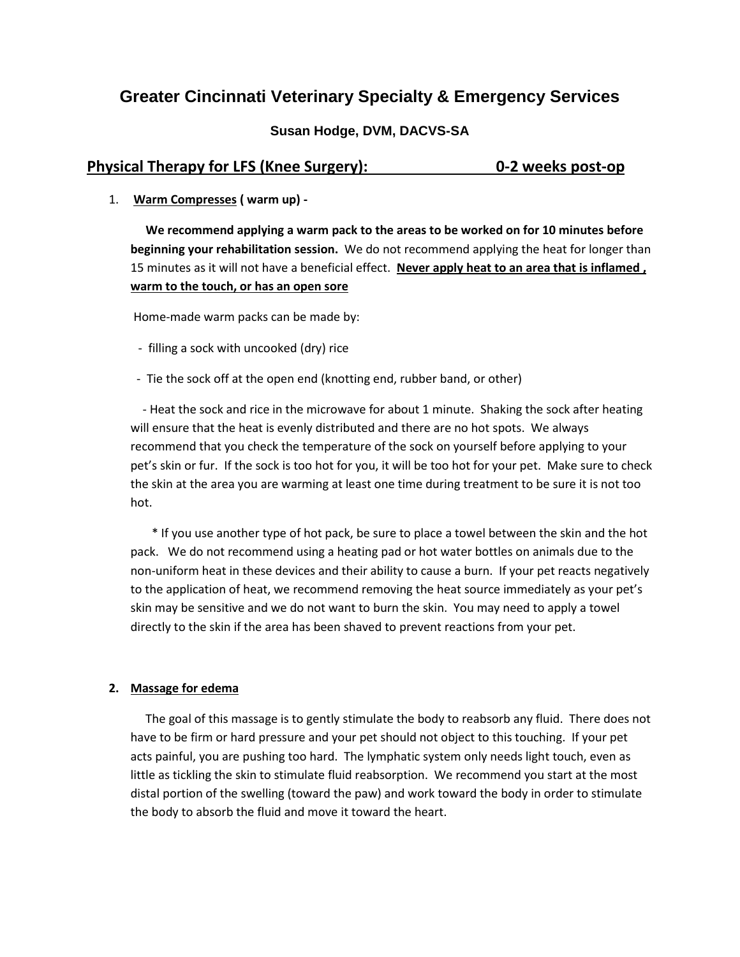# **Greater Cincinnati Veterinary Specialty & Emergency Services**

### **Susan Hodge, DVM, DACVS-SA**

## **Physical Therapy for LFS (Knee Surgery): 0-2 weeks post-op**

1. **Warm Compresses ( warm up) -**

 **We recommend applying a warm pack to the areas to be worked on for 10 minutes before beginning your rehabilitation session.** We do not recommend applying the heat for longer than 15 minutes as it will not have a beneficial effect. **Never apply heat to an area that is inflamed , warm to the touch, or has an open sore**

Home-made warm packs can be made by:

- filling a sock with uncooked (dry) rice
- Tie the sock off at the open end (knotting end, rubber band, or other)

 - Heat the sock and rice in the microwave for about 1 minute. Shaking the sock after heating will ensure that the heat is evenly distributed and there are no hot spots. We always recommend that you check the temperature of the sock on yourself before applying to your pet's skin or fur. If the sock is too hot for you, it will be too hot for your pet. Make sure to check the skin at the area you are warming at least one time during treatment to be sure it is not too hot.

 \* If you use another type of hot pack, be sure to place a towel between the skin and the hot pack. We do not recommend using a heating pad or hot water bottles on animals due to the non-uniform heat in these devices and their ability to cause a burn. If your pet reacts negatively to the application of heat, we recommend removing the heat source immediately as your pet's skin may be sensitive and we do not want to burn the skin. You may need to apply a towel directly to the skin if the area has been shaved to prevent reactions from your pet.

#### **2. Massage for edema**

 The goal of this massage is to gently stimulate the body to reabsorb any fluid. There does not have to be firm or hard pressure and your pet should not object to this touching. If your pet acts painful, you are pushing too hard. The lymphatic system only needs light touch, even as little as tickling the skin to stimulate fluid reabsorption. We recommend you start at the most distal portion of the swelling (toward the paw) and work toward the body in order to stimulate the body to absorb the fluid and move it toward the heart.